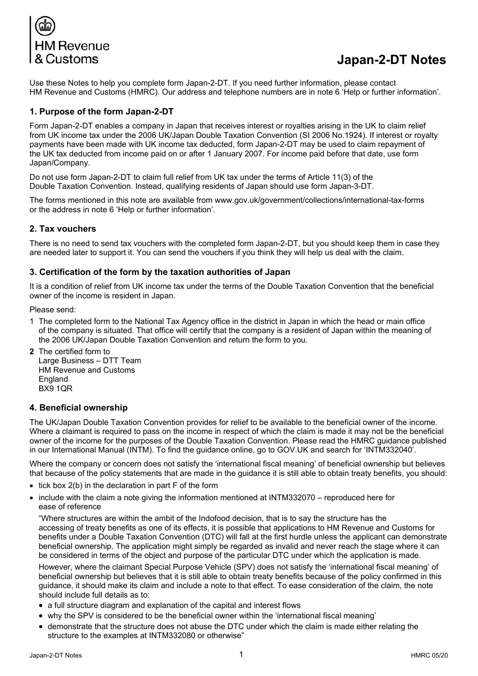

# **Japan-2-DT Notes**

Use these Notes to help you complete form Japan-2-DT. If you need further information, please contact HM Revenue and Customs (HMRC). Our address and telephone numbers are in note 6 'Help or further information'.

## **1. Purpose of the form Japan-2-DT**

Form Japan-2-DT enables a company in Japan that receives interest or royalties arising in the UK to claim relief from UK income tax under the 2006 UK/Japan Double Taxation Convention (SI 2006 No.1924). If interest or royalty payments have been made with UK income tax deducted, form Japan-2-DT may be used to claim repayment of the UK tax deducted from income paid on or after 1 January 2007. For income paid before that date, use form Japan/Company.

Do not use form Japan-2-DT to claim full relief from UK tax under the terms of Article 11(3) of the Double Taxation Convention. Instead, qualifying residents of Japan should use form Japan-3-DT.

The forms mentioned in this note are available from [www.gov.uk/government/collections/international-tax-forms](http://www.gov.uk/government/collections/international-tax-forms) or the address in note 6 'Help or further information'.

#### **2. Tax vouchers**

There is no need to send tax vouchers with the completed form Japan-2-DT, but you should keep them in case they are needed later to support it. You can send the vouchers if you think they will help us deal with the claim.

#### **3. Certification of the form by the taxation authorities of Japan**

It is a condition of relief from UK income tax under the terms of the Double Taxation Convention that the beneficial owner of the income is resident in Japan.

Please send:

- 1 The completed form to the National Tax Agency office in the district in Japan in which the head or main office of the company is situated. That office will certify that the company is a resident of Japan within the meaning of the 2006 UK/Japan Double Taxation Convention and return the form to you.
- **2** The certified form to Large Business – DTT Team HM Revenue and Customs England BX9 1QR

#### **4. Beneficial ownership**

The UK/Japan Double Taxation Convention provides for relief to be available to the beneficial owner of the income. Where a claimant is required to pass on the income in respect of which the claim is made it may not be the beneficial owner of the income for the purposes of the Double Taxation Convention. Please read the HMRC guidance published in our International Manual (INTM). To find the guidance online, go to GOV.UK and search for 'INTM332040'.

Where the company or concern does not satisfy the 'international fiscal meaning' of beneficial ownership but believes that because of the policy statements that are made in the guidance it is still able to obtain treaty benefits, you should:

- tick box 2(b) in the declaration in part F of the form
- include with the claim a note giving the information mentioned at INTM332070 reproduced here for ease of reference

"Where structures are within the ambit of the Indofood decision, that is to say the structure has the accessing of treaty benefits as one of its effects, it is possible that applications to HM Revenue and Customs for benefits under a Double Taxation Convention (DTC) will fall at the first hurdle unless the applicant can demonstrate beneficial ownership. The application might simply be regarded as invalid and never reach the stage where it can be considered in terms of the object and purpose of the particular DTC under which the application is made.

However, where the claimant Special Purpose Vehicle (SPV) does not satisfy the 'international fiscal meaning' of beneficial ownership but believes that it is still able to obtain treaty benefits because of the policy confirmed in this guidance, it should make its claim and include a note to that effect. To ease consideration of the claim, the note should include full details as to:

- a full structure diagram and explanation of the capital and interest flows
- why the SPV is considered to be the beneficial owner within the 'international fiscal meaning'
- demonstrate that the structure does not abuse the DTC under which the claim is made either relating the structure to the examples at INTM332080 or otherwise"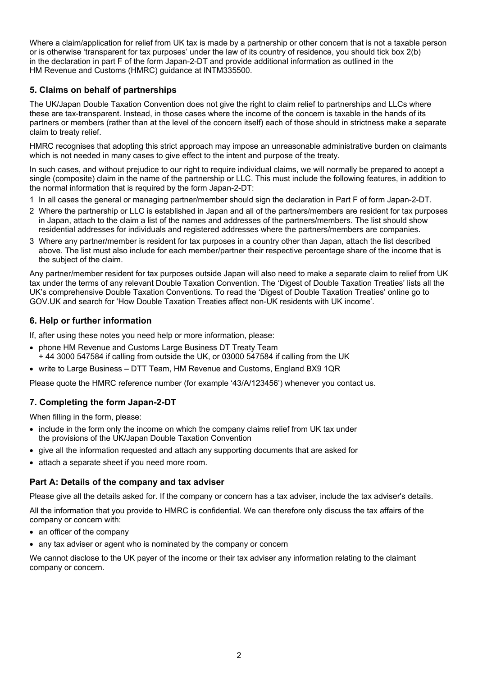Where a claim/application for relief from UK tax is made by a partnership or other concern that is not a taxable person or is otherwise 'transparent for tax purposes' under the law of its country of residence, you should tick box 2(b) in the declaration in part F of the form Japan-2-DT and provide additional information as outlined in the HM Revenue and Customs (HMRC) guidance at INTM335500.

# **5. Claims on behalf of partnerships**

The UK/Japan Double Taxation Convention does not give the right to claim relief to partnerships and LLCs where these are tax-transparent. Instead, in those cases where the income of the concern is taxable in the hands of its partners or members (rather than at the level of the concern itself) each of those should in strictness make a separate claim to treaty relief.

HMRC recognises that adopting this strict approach may impose an unreasonable administrative burden on claimants which is not needed in many cases to give effect to the intent and purpose of the treaty.

In such cases, and without prejudice to our right to require individual claims, we will normally be prepared to accept a single (composite) claim in the name of the partnership or LLC. This must include the following features, in addition to the normal information that is required by the form Japan-2-DT:

- 1 In all cases the general or managing partner/member should sign the declaration in Part F of form Japan-2-DT.
- 2 Where the partnership or LLC is established in Japan and all of the partners/members are resident for tax purposes in Japan, attach to the claim a list of the names and addresses of the partners/members. The list should show residential addresses for individuals and registered addresses where the partners/members are companies.
- 3 Where any partner/member is resident for tax purposes in a country other than Japan, attach the list described above. The list must also include for each member/partner their respective percentage share of the income that is the subject of the claim.

Any partner/member resident for tax purposes outside Japan will also need to make a separate claim to relief from UK tax under the terms of any relevant Double Taxation Convention. The 'Digest of Double Taxation Treaties' lists all the UK's comprehensive Double Taxation Conventions. To read the 'Digest of Double Taxation Treaties' online go to GOV.UK and search for 'How Double Taxation Treaties affect non-UK residents with UK income'.

## **6. Help or further information**

If, after using these notes you need help or more information, please:

- phone HM Revenue and Customs Large Business DT Treaty Team
- $+$  44 3000 547584 if calling from outside the UK, or 03000 547584 if calling from the UK
- write to Large Business DTT Team, HM Revenue and Customs, England BX9 1QR

Please quote the HMRC reference number (for example '43/A/123456') whenever you contact us.

# **7. Completing the form Japan-2-DT**

When filling in the form, please:

- include in the form only the income on which the company claims relief from UK tax under the provisions of the UK/Japan Double Taxation Convention
- give all the information requested and attach any supporting documents that are asked for
- attach a separate sheet if you need more room.

## **Part A: Details of the company and tax adviser**

Please give all the details asked for. If the company or concern has a tax adviser, include the tax adviser's details.

All the information that you provide to HMRC is confidential. We can therefore only discuss the tax affairs of the company or concern with:

- an officer of the company
- any tax adviser or agent who is nominated by the company or concern

We cannot disclose to the UK payer of the income or their tax adviser any information relating to the claimant company or concern.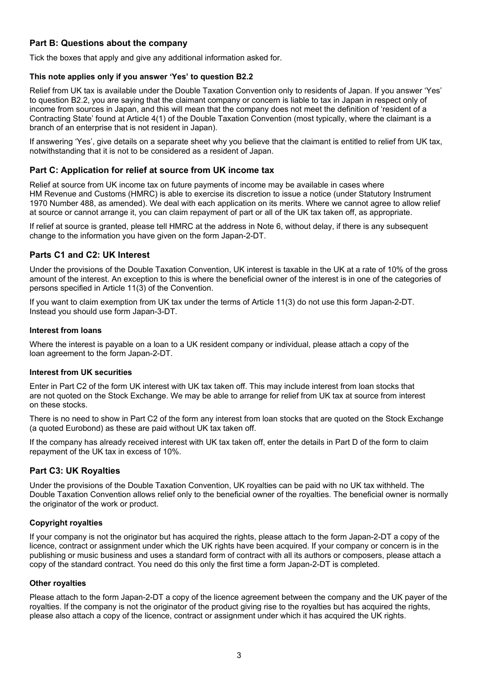## **Part B: Questions about the company**

Tick the boxes that apply and give any additional information asked for.

#### **This note applies only if you answer 'Yes' to question B2.2**

Relief from UK tax is available under the Double Taxation Convention only to residents of Japan. If you answer 'Yes' to question B2.2, you are saying that the claimant company or concern is liable to tax in Japan in respect only of income from sources in Japan, and this will mean that the company does not meet the definition of 'resident of a Contracting State' found at Article 4(1) of the Double Taxation Convention (most typically, where the claimant is a branch of an enterprise that is not resident in Japan).

If answering 'Yes', give details on a separate sheet why you believe that the claimant is entitled to relief from UK tax, notwithstanding that it is not to be considered as a resident of Japan.

## **Part C: Application for relief at source from UK income tax**

Relief at source from UK income tax on future payments of income may be available in cases where HM Revenue and Customs (HMRC) is able to exercise its discretion to issue a notice (under Statutory Instrument 1970 Number 488, as amended). We deal with each application on its merits. Where we cannot agree to allow relief at source or cannot arrange it, you can claim repayment of part or all of the UK tax taken off, as appropriate.

If relief at source is granted, please tell HMRC at the address in Note 6, without delay, if there is any subsequent change to the information you have given on the form Japan-2-DT.

## **Parts C1 and C2: UK Interest**

Under the provisions of the Double Taxation Convention, UK interest is taxable in the UK at a rate of 10% of the gross amount of the interest. An exception to this is where the beneficial owner of the interest is in one of the categories of persons specified in Article 11(3) of the Convention.

If you want to claim exemption from UK tax under the terms of Article 11(3) do not use this form Japan-2-DT. Instead you should use form Japan-3-DT.

#### **Interest from loans**

Where the interest is payable on a loan to a UK resident company or individual, please attach a copy of the loan agreement to the form Japan-2-DT.

#### **Interest from UK securities**

Enter in Part C2 of the form UK interest with UK tax taken off. This may include interest from loan stocks that are not quoted on the Stock Exchange. We may be able to arrange for relief from UK tax at source from interest on these stocks.

There is no need to show in Part C2 of the form any interest from loan stocks that are quoted on the Stock Exchange (a quoted Eurobond) as these are paid without UK tax taken off.

If the company has already received interest with UK tax taken off, enter the details in Part D of the form to claim repayment of the UK tax in excess of 10%.

## **Part C3: UK Royalties**

Under the provisions of the Double Taxation Convention, UK royalties can be paid with no UK tax withheld. The Double Taxation Convention allows relief only to the beneficial owner of the royalties. The beneficial owner is normally the originator of the work or product.

#### **Copyright royalties**

If your company is not the originator but has acquired the rights, please attach to the form Japan-2-DT a copy of the licence, contract or assignment under which the UK rights have been acquired. If your company or concern is in the publishing or music business and uses a standard form of contract with all its authors or composers, please attach a copy of the standard contract. You need do this only the first time a form Japan-2-DT is completed.

#### **Other royalties**

Please attach to the form Japan-2-DT a copy of the licence agreement between the company and the UK payer of the royalties. If the company is not the originator of the product giving rise to the royalties but has acquired the rights, please also attach a copy of the licence, contract or assignment under which it has acquired the UK rights.